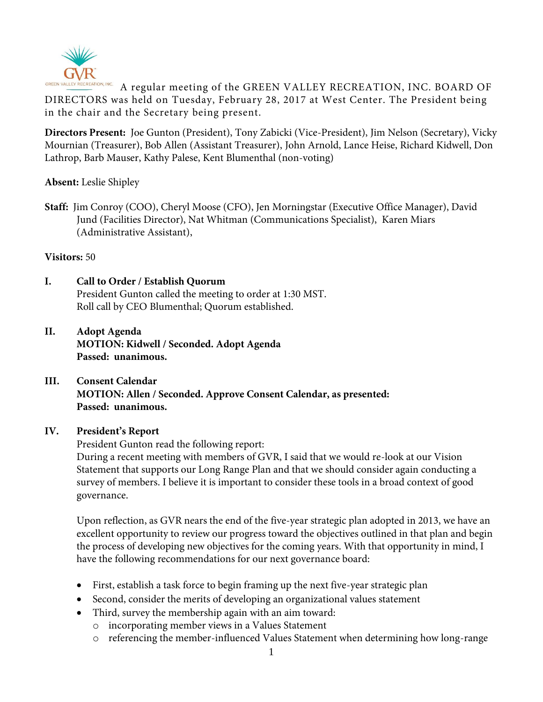

GREEN VALLEY RECREATION, INC. A regular meeting of the GREEN VALLEY RECREATION, INC. BOARD OF DIRECTORS was held on Tuesday, February 28, 2017 at West Center. The President being in the chair and the Secretary being present.

**Directors Present:** Joe Gunton (President), Tony Zabicki (Vice-President), Jim Nelson (Secretary), Vicky Mournian (Treasurer), Bob Allen (Assistant Treasurer), John Arnold, Lance Heise, Richard Kidwell, Don Lathrop, Barb Mauser, Kathy Palese, Kent Blumenthal (non-voting)

## **Absent:** Leslie Shipley

**Staff:** Jim Conroy (COO), Cheryl Moose (CFO), Jen Morningstar (Executive Office Manager), David Jund (Facilities Director), Nat Whitman (Communications Specialist), Karen Miars (Administrative Assistant),

### **Visitors:** 50

- **I. Call to Order / Establish Quorum** President Gunton called the meeting to order at 1:30 MST. Roll call by CEO Blumenthal; Quorum established.
- **II. Adopt Agenda MOTION: Kidwell / Seconded. Adopt Agenda Passed: unanimous.**
- **III. Consent Calendar MOTION: Allen / Seconded. Approve Consent Calendar, as presented: Passed: unanimous.**

#### **IV. President's Report**

President Gunton read the following report:

During a recent meeting with members of GVR, I said that we would re-look at our Vision Statement that supports our Long Range Plan and that we should consider again conducting a survey of members. I believe it is important to consider these tools in a broad context of good governance.

Upon reflection, as GVR nears the end of the five-year strategic plan adopted in 2013, we have an excellent opportunity to review our progress toward the objectives outlined in that plan and begin the process of developing new objectives for the coming years. With that opportunity in mind, I have the following recommendations for our next governance board:

- First, establish a task force to begin framing up the next five-year strategic plan
- Second, consider the merits of developing an organizational values statement
- Third, survey the membership again with an aim toward:
	- o incorporating member views in a Values Statement
	- o referencing the member-influenced Values Statement when determining how long-range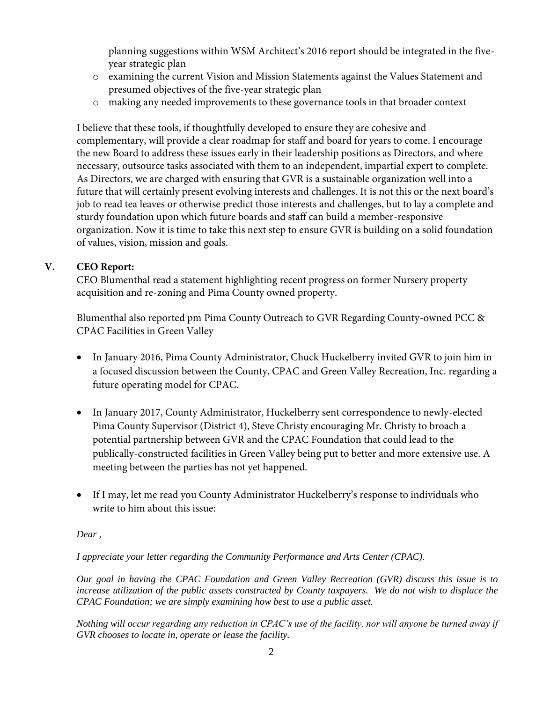planning suggestions within WSM Architect's 2016 report should be integrated in the fiveyear strategic plan

- o examining the current Vision and Mission Statements against the Values Statement and presumed objectives of the five-year strategic plan
- o making any needed improvements to these governance tools in that broader context

I believe that these tools, if thoughtfully developed to ensure they are cohesive and complementary, will provide a clear roadmap for staff and board for years to come. I encourage the new Board to address these issues early in their leadership positions as Directors, and where necessary, outsource tasks associated with them to an independent, impartial expert to complete. As Directors, we are charged with ensuring that GVR is a sustainable organization well into a future that will certainly present evolving interests and challenges. It is not this or the next board's job to read tea leaves or otherwise predict those interests and challenges, but to lay a complete and sturdy foundation upon which future boards and staff can build a member-responsive organization. Now it is time to take this next step to ensure GVR is building on a solid foundation of values, vision, mission and goals.

## **V. CEO Report:**

CEO Blumenthal read a statement highlighting recent progress on former Nursery property acquisition and re-zoning and Pima County owned property.

Blumenthal also reported pm Pima County Outreach to GVR Regarding County-owned PCC & CPAC Facilities in Green Valley

- In January 2016, Pima County Administrator, Chuck Huckelberry invited GVR to join him in a focused discussion between the County, CPAC and Green Valley Recreation, Inc. regarding a future operating model for CPAC.
- In January 2017, County Administrator, Huckelberry sent correspondence to newly-elected Pima County Supervisor (District 4), Steve Christy encouraging Mr. Christy to broach a potential partnership between GVR and the CPAC Foundation that could lead to the publically-constructed facilities in Green Valley being put to better and more extensive use. A meeting between the parties has not yet happened.
- If I may, let me read you County Administrator Huckelberry's response to individuals who write to him about this issue:

## *Dear ,*

## *I appreciate your letter regarding the Community Performance and Arts Center (CPAC).*

*Our goal in having the CPAC Foundation and Green Valley Recreation (GVR) discuss this issue is to increase utilization of the public assets constructed by County taxpayers. We do not wish to displace the CPAC Foundation; we are simply examining how best to use a public asset.* 

*Nothing will occur regarding any reduction in CPAC's use of the facility, nor will anyone be turned away if GVR chooses to locate in, operate or lease the facility.*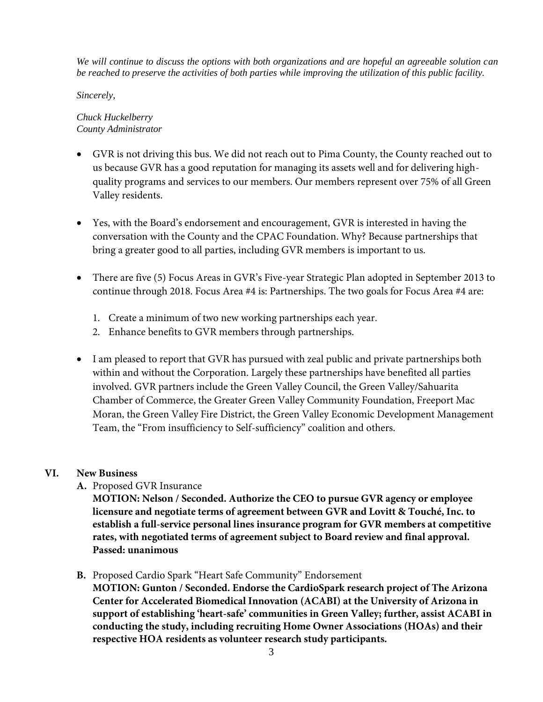*We will continue to discuss the options with both organizations and are hopeful an agreeable solution can be reached to preserve the activities of both parties while improving the utilization of this public facility.*

*Sincerely,*

#### *Chuck Huckelberry County Administrator*

- GVR is not driving this bus. We did not reach out to Pima County, the County reached out to us because GVR has a good reputation for managing its assets well and for delivering highquality programs and services to our members. Our members represent over 75% of all Green Valley residents.
- Yes, with the Board's endorsement and encouragement, GVR is interested in having the conversation with the County and the CPAC Foundation. Why? Because partnerships that bring a greater good to all parties, including GVR members is important to us.
- There are five (5) Focus Areas in GVR's Five-year Strategic Plan adopted in September 2013 to continue through 2018. Focus Area #4 is: Partnerships. The two goals for Focus Area #4 are:
	- 1. Create a minimum of two new working partnerships each year.
	- 2. Enhance benefits to GVR members through partnerships.
- I am pleased to report that GVR has pursued with zeal public and private partnerships both within and without the Corporation. Largely these partnerships have benefited all parties involved. GVR partners include the Green Valley Council, the Green Valley/Sahuarita Chamber of Commerce, the Greater Green Valley Community Foundation, Freeport Mac Moran, the Green Valley Fire District, the Green Valley Economic Development Management Team, the "From insufficiency to Self-sufficiency" coalition and others.

## **VI. New Business**

**A.** Proposed GVR Insurance

**MOTION: Nelson / Seconded. Authorize the CEO to pursue GVR agency or employee licensure and negotiate terms of agreement between GVR and Lovitt & Touché, Inc. to establish a full-service personal lines insurance program for GVR members at competitive rates, with negotiated terms of agreement subject to Board review and final approval. Passed: unanimous**

**B.** Proposed Cardio Spark "Heart Safe Community" Endorsement

**MOTION: Gunton / Seconded. Endorse the CardioSpark research project of The Arizona Center for Accelerated Biomedical Innovation (ACABI) at the University of Arizona in support of establishing 'heart-safe' communities in Green Valley; further, assist ACABI in conducting the study, including recruiting Home Owner Associations (HOAs) and their respective HOA residents as volunteer research study participants.**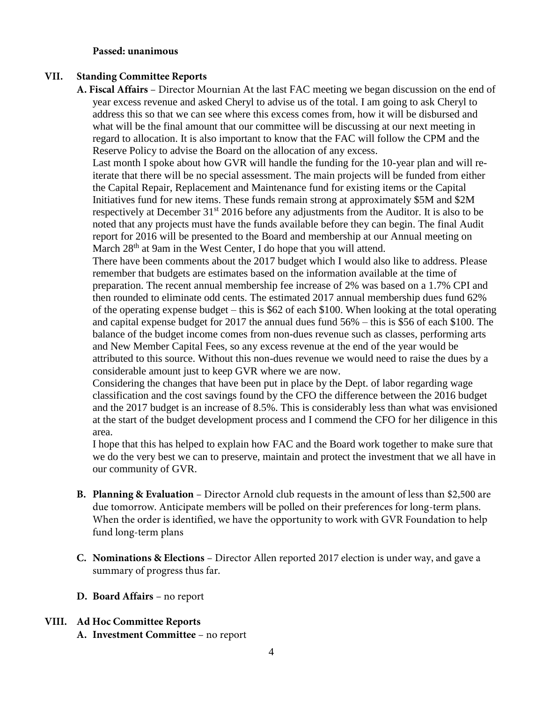#### **Passed: unanimous**

#### **VII. Standing Committee Reports**

**A. Fiscal Affairs** – Director Mournian At the last FAC meeting we began discussion on the end of year excess revenue and asked Cheryl to advise us of the total. I am going to ask Cheryl to address this so that we can see where this excess comes from, how it will be disbursed and what will be the final amount that our committee will be discussing at our next meeting in regard to allocation. It is also important to know that the FAC will follow the CPM and the Reserve Policy to advise the Board on the allocation of any excess.

Last month I spoke about how GVR will handle the funding for the 10-year plan and will reiterate that there will be no special assessment. The main projects will be funded from either the Capital Repair, Replacement and Maintenance fund for existing items or the Capital Initiatives fund for new items. These funds remain strong at approximately \$5M and \$2M respectively at December 31<sup>st</sup> 2016 before any adjustments from the Auditor. It is also to be noted that any projects must have the funds available before they can begin. The final Audit report for 2016 will be presented to the Board and membership at our Annual meeting on March 28<sup>th</sup> at 9am in the West Center, I do hope that you will attend.

There have been comments about the 2017 budget which I would also like to address. Please remember that budgets are estimates based on the information available at the time of preparation. The recent annual membership fee increase of 2% was based on a 1.7% CPI and then rounded to eliminate odd cents. The estimated 2017 annual membership dues fund 62% of the operating expense budget – this is \$62 of each \$100. When looking at the total operating and capital expense budget for 2017 the annual dues fund 56% – this is \$56 of each \$100. The balance of the budget income comes from non-dues revenue such as classes, performing arts and New Member Capital Fees, so any excess revenue at the end of the year would be attributed to this source. Without this non-dues revenue we would need to raise the dues by a considerable amount just to keep GVR where we are now.

Considering the changes that have been put in place by the Dept. of labor regarding wage classification and the cost savings found by the CFO the difference between the 2016 budget and the 2017 budget is an increase of 8.5%. This is considerably less than what was envisioned at the start of the budget development process and I commend the CFO for her diligence in this area.

I hope that this has helped to explain how FAC and the Board work together to make sure that we do the very best we can to preserve, maintain and protect the investment that we all have in our community of GVR.

- **B. Planning & Evaluation** Director Arnold club requests in the amount of less than \$2,500 are due tomorrow. Anticipate members will be polled on their preferences for long-term plans. When the order is identified, we have the opportunity to work with GVR Foundation to help fund long-term plans
- **C. Nominations & Elections** Director Allen reported 2017 election is under way, and gave a summary of progress thus far.
- **D. Board Affairs** no report
- **VIII. Ad Hoc Committee Reports**
	- **A. Investment Committee**  no report